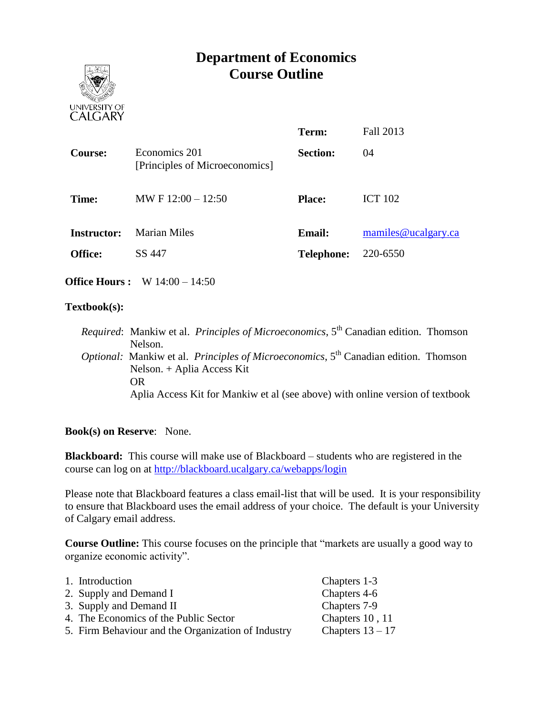# **Department of Economics Course Outline**



| mamiles@ucalgary.ca |
|---------------------|
|                     |
|                     |

**Office Hours :** W 14:00 – 14:50

#### **Textbook(s):**

*Required*: Mankiw et al. *Principles of Microeconomics*, 5<sup>th</sup> Canadian edition. Thomson Nelson. *Optional:* Mankiw et al. *Principles of Microeconomics*, 5<sup>th</sup> Canadian edition. Thomson Nelson. + Aplia Access Kit OR Aplia Access Kit for Mankiw et al (see above) with online version of textbook

#### **Book(s) on Reserve**: None.

**Blackboard:** This course will make use of Blackboard – students who are registered in the course can log on at<http://blackboard.ucalgary.ca/webapps/login>

Please note that Blackboard features a class email-list that will be used. It is your responsibility to ensure that Blackboard uses the email address of your choice. The default is your University of Calgary email address.

**Course Outline:** This course focuses on the principle that "markets are usually a good way to organize economic activity".

| 1. Introduction                                    | Chapters 1-3       |
|----------------------------------------------------|--------------------|
| 2. Supply and Demand I                             | Chapters 4-6       |
| 3. Supply and Demand II                            | Chapters 7-9       |
| 4. The Economics of the Public Sector              | Chapters 10, 11    |
| 5. Firm Behaviour and the Organization of Industry | Chapters $13 - 17$ |
|                                                    |                    |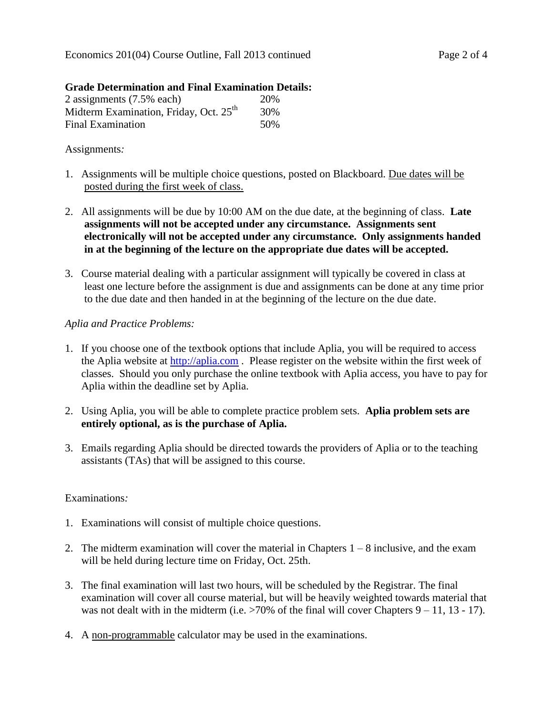## **Grade Determination and Final Examination Details:**

| 2 assignments (7.5% each)                          | 20%  |
|----------------------------------------------------|------|
| Midterm Examination, Friday, Oct. 25 <sup>th</sup> | 30%  |
| <b>Final Examination</b>                           | .50% |

## Assignments*:*

- 1. Assignments will be multiple choice questions, posted on Blackboard. Due dates will be posted during the first week of class.
- 2. All assignments will be due by 10:00 AM on the due date, at the beginning of class. **Late assignments will not be accepted under any circumstance. Assignments sent electronically will not be accepted under any circumstance. Only assignments handed in at the beginning of the lecture on the appropriate due dates will be accepted.**
- 3. Course material dealing with a particular assignment will typically be covered in class at least one lecture before the assignment is due and assignments can be done at any time prior to the due date and then handed in at the beginning of the lecture on the due date.

## *Aplia and Practice Problems:*

- 1. If you choose one of the textbook options that include Aplia, you will be required to access the Aplia website at [http://aplia.com](http://aplia.com/) . Please register on the website within the first week of classes. Should you only purchase the online textbook with Aplia access, you have to pay for Aplia within the deadline set by Aplia.
- 2. Using Aplia, you will be able to complete practice problem sets. **Aplia problem sets are entirely optional, as is the purchase of Aplia.**
- 3. Emails regarding Aplia should be directed towards the providers of Aplia or to the teaching assistants (TAs) that will be assigned to this course.

#### Examinations*:*

- 1. Examinations will consist of multiple choice questions.
- 2. The midterm examination will cover the material in Chapters  $1 8$  inclusive, and the exam will be held during lecture time on Friday, Oct. 25th.
- 3. The final examination will last two hours, will be scheduled by the Registrar. The final examination will cover all course material, but will be heavily weighted towards material that was not dealt with in the midterm (i.e.  $>70\%$  of the final will cover Chapters 9 – 11, 13 - 17).
- 4. A non-programmable calculator may be used in the examinations.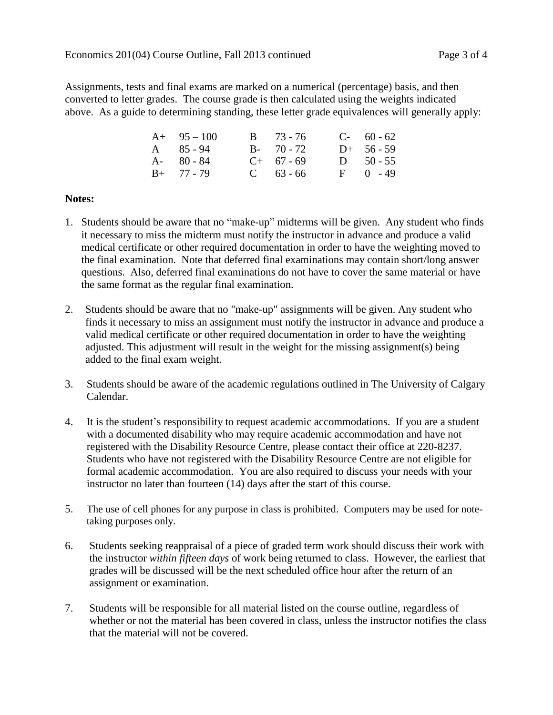Assignments, tests and final exams are marked on a numerical (percentage) basis, and then converted to letter grades. The course grade is then calculated using the weights indicated above. As a guide to determining standing, these letter grade equivalences will generally apply:

| $A+ 95-100$   | $B = 73 - 76$ | $C-60-62$    |
|---------------|---------------|--------------|
| $A = 85 - 94$ | $B - 70 - 72$ | $D+ 56-59$   |
| $A - 80 - 84$ | $C+ 67 - 69$  | D $50 - 55$  |
| $B+ 77 - 79$  | $C = 63 - 66$ | $F = 0 - 49$ |

## **Notes:**

- 1. Students should be aware that no "make-up" midterms will be given. Any student who finds it necessary to miss the midterm must notify the instructor in advance and produce a valid medical certificate or other required documentation in order to have the weighting moved to the final examination. Note that deferred final examinations may contain short/long answer questions. Also, deferred final examinations do not have to cover the same material or have the same format as the regular final examination.
- 2. Students should be aware that no "make-up" assignments will be given. Any student who finds it necessary to miss an assignment must notify the instructor in advance and produce a valid medical certificate or other required documentation in order to have the weighting adjusted. This adjustment will result in the weight for the missing assignment(s) being added to the final exam weight.
- 3. Students should be aware of the academic regulations outlined in The University of Calgary Calendar.
- 4. It is the student's responsibility to request academic accommodations. If you are a student with a documented disability who may require academic accommodation and have not registered with the Disability Resource Centre, please contact their office at 220-8237. Students who have not registered with the Disability Resource Centre are not eligible for formal academic accommodation. You are also required to discuss your needs with your instructor no later than fourteen (14) days after the start of this course.
- 5. The use of cell phones for any purpose in class is prohibited. Computers may be used for notetaking purposes only.
- 6. Students seeking reappraisal of a piece of graded term work should discuss their work with the instructor *within fifteen days* of work being returned to class. However, the earliest that grades will be discussed will be the next scheduled office hour after the return of an assignment or examination.
- 7. Students will be responsible for all material listed on the course outline, regardless of whether or not the material has been covered in class, unless the instructor notifies the class that the material will not be covered.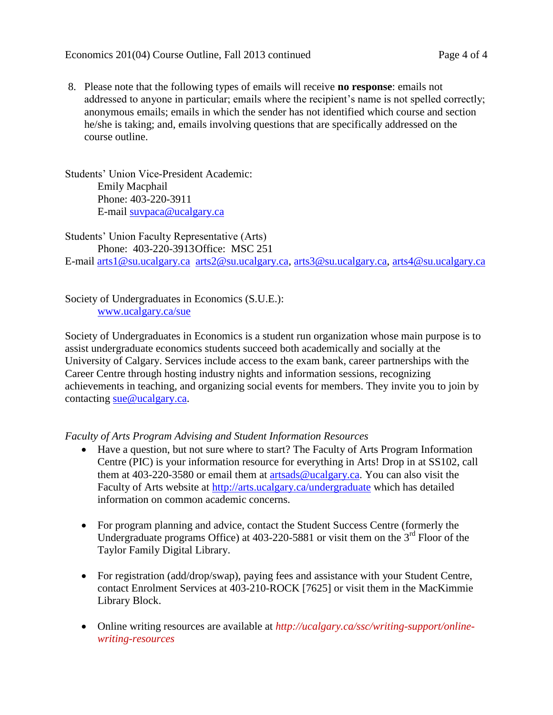8. Please note that the following types of emails will receive **no response**: emails not addressed to anyone in particular; emails where the recipient's name is not spelled correctly; anonymous emails; emails in which the sender has not identified which course and section he/she is taking; and, emails involving questions that are specifically addressed on the course outline.

Students' Union Vice-President Academic: Emily Macphail Phone: 403-220-3911 E-mail [suvpaca@ucalgary.ca](mailto:subpaca@ucalgary.ca)

Students' Union Faculty Representative (Arts) Phone: 403-220-3913Office: MSC 251 E-mail [arts1@su.ucalgary.ca](mailto:arts1@su.ucalgary.ca) [arts2@su.ucalgary.ca,](mailto:arts2@su.ucalgary.ca) [arts3@su.ucalgary.ca,](mailto:arts3@su.ucalgary.ca) [arts4@su.ucalgary.ca](mailto:arts4@su.ucalgary.ca)

Society of Undergraduates in Economics (S.U.E.): [www.ucalgary.ca/sue](http://www.fp.ucalgary.ca/econ)

Society of Undergraduates in Economics is a student run organization whose main purpose is to assist undergraduate economics students succeed both academically and socially at the University of Calgary. Services include access to the exam bank, career partnerships with the Career Centre through hosting industry nights and information sessions, recognizing achievements in teaching, and organizing social events for members. They invite you to join by contacting [sue@ucalgary.ca.](mailto:sue@ucalgary.ca)

*Faculty of Arts Program Advising and Student Information Resources*

- Have a question, but not sure where to start? The Faculty of Arts Program Information Centre (PIC) is your information resource for everything in Arts! Drop in at SS102, call them at 403-220-3580 or email them at [artsads@ucalgary.ca.](mailto:artsads@ucalgary.ca) You can also visit the Faculty of Arts website at<http://arts.ucalgary.ca/undergraduate> which has detailed information on common academic concerns.
- For program planning and advice, contact the Student Success Centre (formerly the Undergraduate programs Office) at  $403-220-5881$  or visit them on the  $3<sup>rd</sup>$  Floor of the Taylor Family Digital Library.
- For registration (add/drop/swap), paying fees and assistance with your Student Centre, contact Enrolment Services at 403-210-ROCK [7625] or visit them in the MacKimmie Library Block.
- Online writing resources are available at *http://ucalgary.ca/ssc/writing-support/onlinewriting-resources*